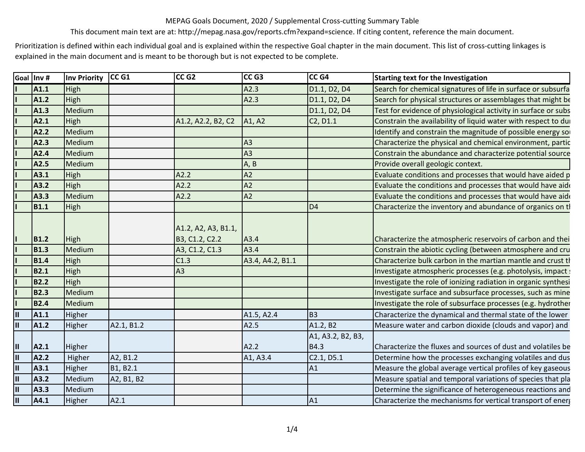This document main text are at: http://mepag.nasa.gov/reports.cfm?expand=science. If citing content, reference the main document.

Prioritization is defined within each individual goal and is explained within the respective Goal chapter in the main document. This list of cross-cutting linkages is explained in the main document and is meant to be thorough but is not expected to be complete.

|                         | Goal Inv #  | <b>Inv Priority</b> | CC <sub>G1</sub> | CC <sub>G2</sub>                      | CC <sub>G3</sub>                | CC <sub>G4</sub>                  | <b>Starting text for the Investigation</b>                     |
|-------------------------|-------------|---------------------|------------------|---------------------------------------|---------------------------------|-----------------------------------|----------------------------------------------------------------|
|                         | A1.1        | High                |                  |                                       | A2.3                            | D1.1, D2, D4                      | Search for chemical signatures of life in surface or subsurfa  |
|                         | A1.2        | High                |                  |                                       | A2.3                            | D1.1, D2, D4                      | Search for physical structures or assemblages that might be    |
|                         | A1.3        | Medium              |                  |                                       |                                 | D1.1, D2, D4                      | Test for evidence of physiological activity in surface or subs |
|                         | A2.1        | High                |                  | A1.2, A2.2, B2, C2                    | A <sub>1</sub> , A <sub>2</sub> | C <sub>2</sub> , D <sub>1.1</sub> | Constrain the availability of liquid water with respect to dui |
|                         | A2.2        | Medium              |                  |                                       |                                 |                                   | Identify and constrain the magnitude of possible energy so     |
|                         | A2.3        | Medium              |                  |                                       | A3                              |                                   | Characterize the physical and chemical environment, partic     |
|                         | A2.4        | Medium              |                  |                                       | A3                              |                                   | Constrain the abundance and characterize potential source      |
|                         | A2.5        | Medium              |                  |                                       | A, B                            |                                   | Provide overall geologic context.                              |
|                         | A3.1        | High                |                  | A2.2                                  | A2                              |                                   | Evaluate conditions and processes that would have aided p      |
|                         | A3.2        | High                |                  | A2.2                                  | A2                              |                                   | Evaluate the conditions and processes that would have aide     |
|                         | A3.3        | Medium              |                  | A2.2                                  | A2                              |                                   | Evaluate the conditions and processes that would have aide     |
|                         | <b>B1.1</b> | High                |                  |                                       |                                 | D <sub>4</sub>                    | Characterize the inventory and abundance of organics on tl     |
|                         | <b>B1.2</b> | High                |                  | A1.2, A2, A3, B1.1,<br>B3, C1.2, C2.2 | A3.4                            |                                   | Characterize the atmospheric reservoirs of carbon and thei     |
|                         | <b>B1.3</b> | Medium              |                  | A3, C1.2, C1.3                        | A3.4                            |                                   | Constrain the abiotic cycling (between atmosphere and cru      |
|                         | <b>B1.4</b> | High                |                  | C1.3                                  | A3.4, A4.2, B1.1                |                                   | Characterize bulk carbon in the martian mantle and crust th    |
|                         | <b>B2.1</b> | High                |                  | A3                                    |                                 |                                   | Investigate atmospheric processes (e.g. photolysis, impact :   |
|                         | <b>B2.2</b> | High                |                  |                                       |                                 |                                   | Investigate the role of ionizing radiation in organic synthesi |
|                         | <b>B2.3</b> | Medium              |                  |                                       |                                 |                                   | Investigate surface and subsurface processes, such as mine     |
|                         | <b>B2.4</b> | Medium              |                  |                                       |                                 |                                   | Investigate the role of subsurface processes (e.g. hydrother   |
| $\blacksquare$          | A1.1        | Higher              |                  |                                       | A1.5, A2.4                      | B <sub>3</sub>                    | Characterize the dynamical and thermal state of the lower      |
| $\blacksquare$          | A1.2        | Higher              | A2.1, B1.2       |                                       | A2.5                            | A1.2, B2                          | Measure water and carbon dioxide (clouds and vapor) and        |
|                         |             |                     |                  |                                       |                                 | A1, A3.2, B2, B3,                 |                                                                |
| Ш                       | A2.1        | Higher              |                  |                                       | A2.2                            | B4.3                              | Characterize the fluxes and sources of dust and volatiles be   |
| $\blacksquare$          | A2.2        | Higher              | A2, B1.2         |                                       | A1, A3.4                        | C2.1, D5.1                        | Determine how the processes exchanging volatiles and dus       |
| $\blacksquare$          | A3.1        | Higher              | B1, B2.1         |                                       |                                 | A1                                | Measure the global average vertical profiles of key gaseous    |
| $\overline{\mathbf{u}}$ | A3.2        | Medium              | A2, B1, B2       |                                       |                                 |                                   | Measure spatial and temporal variations of species that pla    |
| $\mathbf{u}$            | A3.3        | Medium              |                  |                                       |                                 |                                   | Determine the significance of heterogeneous reactions and      |
| $\overline{\mathsf{I}}$ | A4.1        | Higher              | A2.1             |                                       |                                 | A <sub>1</sub>                    | Characterize the mechanisms for vertical transport of energ    |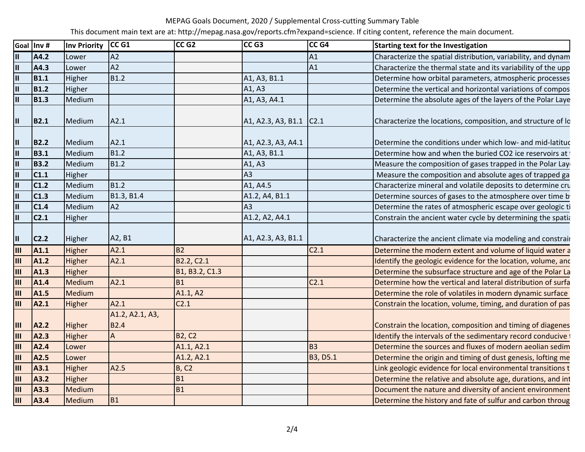This document main text are at: http://mepag.nasa.gov/reports.cfm?expand=science. If citing content, reference the main document.

|                           | Goal Inv #       | Inv Priority | CC <sub>G1</sub> | CCG2             | CC <sub>G3</sub>        | CC <sub>G4</sub> | <b>Starting text for the Investigation</b>                    |
|---------------------------|------------------|--------------|------------------|------------------|-------------------------|------------------|---------------------------------------------------------------|
| $\mathbf{II}$             | A4.2             | Lower        | A2               |                  |                         | A <sub>1</sub>   | Characterize the spatial distribution, variability, and dynam |
| $\mathbf{II}$             | A4.3             | Lower        | A2               |                  |                         | A <sub>1</sub>   | Characterize the thermal state and its variability of the upp |
| $\mathbf{II}$             | <b>B1.1</b>      | Higher       | <b>B1.2</b>      |                  | A1, A3, B1.1            |                  | Determine how orbital parameters, atmospheric processes       |
| $\mathbf{II}$             | <b>B1.2</b>      | Higher       |                  |                  | A1, A3                  |                  | Determine the vertical and horizontal variations of compos    |
| $\mathbf{II}$             | <b>B1.3</b>      | Medium       |                  |                  | A1, A3, A4.1            |                  | Determine the absolute ages of the layers of the Polar Laye   |
| $\mathbf{II}$             | <b>B2.1</b>      | Medium       | A2.1             |                  | A1, A2.3, A3, B1.1 C2.1 |                  | Characterize the locations, composition, and structure of lo  |
| $\mathbf{II}$             | <b>B2.2</b>      | Medium       | A2.1             |                  | A1, A2.3, A3, A4.1      |                  | Determine the conditions under which low- and mid-latitud     |
| $\mathbf{II}$             | <b>B3.1</b>      | Medium       | <b>B1.2</b>      |                  | A1, A3, B1.1            |                  | Determine how and when the buried CO2 ice reservoirs at       |
| $\overline{\mathbf{u}}$   | <b>B3.2</b>      | Medium       | B1.2             |                  | A1, A3                  |                  | Measure the composition of gases trapped in the Polar Lay     |
| $\mathbf{II}$             | C1.1             | Higher       |                  |                  | A <sub>3</sub>          |                  | Measure the composition and absolute ages of trapped ga       |
| $\mathbf{u}$              | C <sub>1.2</sub> | Medium       | <b>B1.2</b>      |                  | A1, A4.5                |                  | Characterize mineral and volatile deposits to determine cru   |
| $\mathbf{u}$              | C1.3             | Medium       | B1.3, B1.4       |                  | A1.2, A4, B1.1          |                  | Determine sources of gases to the atmosphere over time b      |
| $\mathbf{II}$             | C1.4             | Medium       | A2               |                  | A <sub>3</sub>          |                  | Determine the rates of atmospheric escape over geologic ti    |
| $\mathbf{II}$             | C <sub>2.1</sub> | Higher       |                  |                  | A1.2, A2, A4.1          |                  | Constrain the ancient water cycle by determining the spatia   |
| $\mathbf{II}$             | C <sub>2.2</sub> | Higher       | A2, B1           |                  | A1, A2.3, A3, B1.1      |                  | Characterize the ancient climate via modeling and constrair   |
| $\overline{\mathbf{III}}$ | A1.1             | Higher       | A2.1             | <b>B2</b>        |                         | C <sub>2.1</sub> | Determine the modern extent and volume of liquid water a      |
| III                       | A1.2             | Higher       | A2.1             | B2.2, C2.1       |                         |                  | Identify the geologic evidence for the location, volume, and  |
| $\mathbf{III}$            | A1.3             | Higher       |                  | B1, B3.2, C1.3   |                         |                  | Determine the subsurface structure and age of the Polar La    |
| Ш                         | A1.4             | Medium       | A2.1             | <b>B1</b>        |                         | C <sub>2.1</sub> | Determine how the vertical and lateral distribution of surfa  |
| Ш                         | A1.5             | Medium       |                  | A1.1, A2         |                         |                  | Determine the role of volatiles in modern dynamic surface     |
| III                       | A2.1             | Higher       | A2.1             | C <sub>2.1</sub> |                         |                  | Constrain the location, volume, timing, and duration of pas   |
|                           |                  |              | A1.2, A2.1, A3,  |                  |                         |                  |                                                               |
| III                       | A2.2             | Higher       | <b>B2.4</b>      |                  |                         |                  | Constrain the location, composition and timing of diagenes    |
| IШ                        | A2.3             | Higher       | $\overline{A}$   | <b>B2, C2</b>    |                         |                  | Identify the intervals of the sedimentary record conducive    |
| III                       | A2.4             | Lower        |                  | A1.1, A2.1       |                         | B <sub>3</sub>   | Determine the sources and fluxes of modern aeolian sedim      |
| $\mathbf{III}$            | A2.5             | Lower        |                  | A1.2, A2.1       |                         | <b>B3, D5.1</b>  | Determine the origin and timing of dust genesis, lofting me   |
| $\mathbf{III}$            | A3.1             | Higher       | A2.5             | B, C2            |                         |                  | Link geologic evidence for local environmental transitions t  |
| Ш                         | A3.2             | Higher       |                  | <b>B1</b>        |                         |                  | Determine the relative and absolute age, durations, and int   |
| $\mathbf{III}$            | A3.3             | Medium       |                  | <b>B1</b>        |                         |                  | Document the nature and diversity of ancient environment      |
| Ш                         | A3.4             | Medium       | <b>B1</b>        |                  |                         |                  | Determine the history and fate of sulfur and carbon throug    |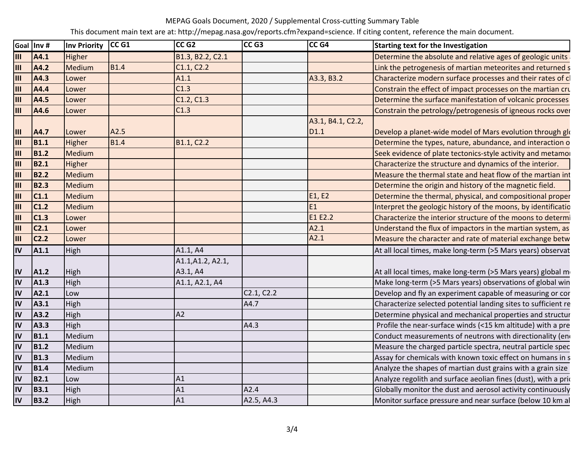This document main text are at: http://mepag.nasa.gov/reports.cfm?expand=science. If citing content, reference the main document.

|     | Goal Inv #       | <b>Inv Priority</b> | CC <sub>G1</sub> | CC <sub>G2</sub>  | CC <sub>G3</sub> | CC <sub>G4</sub>  | <b>Starting text for the Investigation</b>                      |
|-----|------------------|---------------------|------------------|-------------------|------------------|-------------------|-----------------------------------------------------------------|
| Ш   | A4.1             | Higher              |                  | B1.3, B2.2, C2.1  |                  |                   | Determine the absolute and relative ages of geologic units      |
| Ш   | A4.2             | Medium              | <b>B1.4</b>      | C1.1, C2.2        |                  |                   | Link the petrogenesis of martian meteorites and returned s      |
| Ш   | A4.3             | Lower               |                  | A1.1              |                  | A3.3, B3.2        | Characterize modern surface processes and their rates of c      |
| IШ  | A4.4             | Lower               |                  | C1.3              |                  |                   | Constrain the effect of impact processes on the martian cru     |
| Ш   | A4.5             | Lower               |                  | C1.2, C1.3        |                  |                   | Determine the surface manifestation of volcanic processes       |
| Ш   | A4.6             | Lower               |                  | C1.3              |                  |                   | Constrain the petrology/petrogenesis of igneous rocks over      |
|     |                  |                     |                  |                   |                  | A3.1, B4.1, C2.2, |                                                                 |
| Ш   | A4.7             | Lower               | A2.5             |                   |                  | D1.1              | Develop a planet-wide model of Mars evolution through glo       |
| IШ  | <b>B1.1</b>      | Higher              | <b>B1.4</b>      | B1.1, C2.2        |                  |                   | Determine the types, nature, abundance, and interaction o       |
| III | <b>B1.2</b>      | Medium              |                  |                   |                  |                   | Seek evidence of plate tectonics-style activity and metamor     |
| Ш   | <b>B2.1</b>      | Higher              |                  |                   |                  |                   | Characterize the structure and dynamics of the interior.        |
| Ш   | <b>B2.2</b>      | Medium              |                  |                   |                  |                   | Measure the thermal state and heat flow of the martian int      |
| III | <b>B2.3</b>      | Medium              |                  |                   |                  |                   | Determine the origin and history of the magnetic field.         |
| Ш   | C1.1             | Medium              |                  |                   |                  | E1, E2            | Determine the thermal, physical, and compositional proper       |
| Ш   | C1.2             | Medium              |                  |                   |                  | <b>E1</b>         | Interpret the geologic history of the moons, by identificatio   |
| Ш   | C1.3             | Lower               |                  |                   |                  | E1 E2.2           | Characterize the interior structure of the moons to determi     |
| Ш   | C <sub>2.1</sub> | Lower               |                  |                   |                  | A2.1              | Understand the flux of impactors in the martian system, as      |
| Ш   | C <sub>2.2</sub> | Lower               |                  |                   |                  | A2.1              | Measure the character and rate of material exchange betw        |
| IV  | A1.1             | High                |                  | A1.1, A4          |                  |                   | At all local times, make long-term (>5 Mars years) observat     |
|     |                  |                     |                  | A1.1, A1.2, A2.1, |                  |                   |                                                                 |
| IV  | A1.2             | High                |                  | A3.1, A4          |                  |                   | At all local times, make long-term (>5 Mars years) global m     |
| IV  | A1.3             | High                |                  | A1.1, A2.1, A4    |                  |                   | Make long-term (>5 Mars years) observations of global win       |
| IV  | A2.1             | Low                 |                  |                   | C2.1, C2.2       |                   | Develop and fly an experiment capable of measuring or cor       |
| IV  | A3.1             | High                |                  |                   | A4.7             |                   | Characterize selected potential landing sites to sufficient re  |
| IV  | A3.2             | High                |                  | A2                |                  |                   | Determine physical and mechanical properties and structur       |
| IV  | A3.3             | High                |                  |                   | A4.3             |                   | Profile the near-surface winds (<15 km altitude) with a pre     |
| IV  | <b>B1.1</b>      | Medium              |                  |                   |                  |                   | Conduct measurements of neutrons with directionality (end       |
| IV  | <b>B1.2</b>      | Medium              |                  |                   |                  |                   | Measure the charged particle spectra, neutral particle spec     |
| IV  | <b>B1.3</b>      | Medium              |                  |                   |                  |                   | Assay for chemicals with known toxic effect on humans in s      |
| IV  | <b>B1.4</b>      | Medium              |                  |                   |                  |                   | Analyze the shapes of martian dust grains with a grain size     |
| IV  | <b>B2.1</b>      | Low                 |                  | A1                |                  |                   | Analyze regolith and surface aeolian fines (dust), with a prior |
| IV  | <b>B3.1</b>      | High                |                  | A1                | A2.4             |                   | Globally monitor the dust and aerosol activity continuously     |
| IV  | <b>B3.2</b>      | High                |                  | A1                | A2.5, A4.3       |                   | Monitor surface pressure and near surface (below 10 km al       |